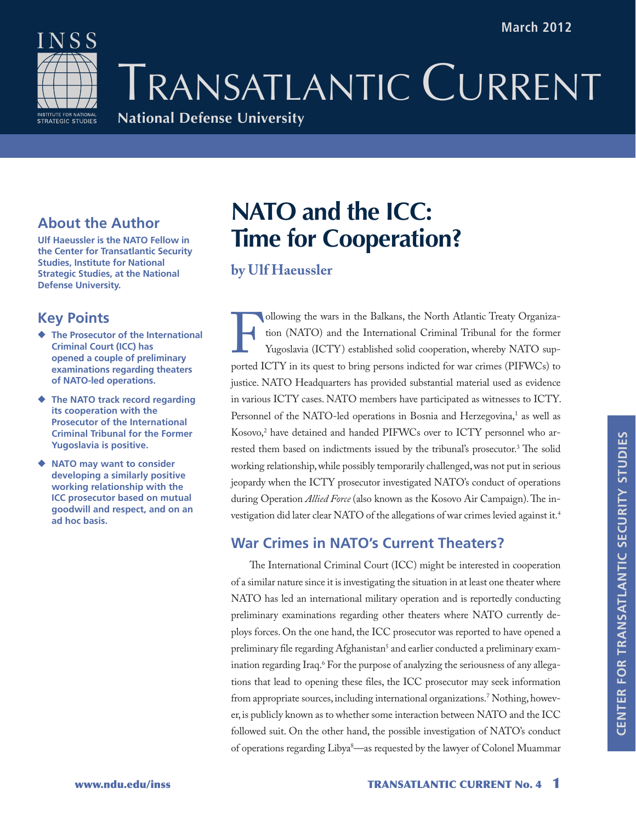Transatlantic CURRENT

## **National Defense University**

## **About the Author**

**Ulf Haeussler is the NATO Fellow in the Center for Transatlantic Security Studies, Institute for National Strategic Studies, at the National Defense University.**

## **Key Points**

NSS

**INSTITUTE FOR NATIONAL**<br>STRATEGIC STUDIES

- ◆ **The Prosecutor of the International Criminal Court (ICC) has opened a couple of preliminary examinations regarding theaters of NATO-led operations.**
- ◆ **The NATO track record regarding its cooperation with the Prosecutor of the International Criminal Tribunal for the Former Yugoslavia is positive.**
- ◆ **NATO** may want to consider **developing a similarly positive working relationship with the ICC prosecutor based on mutual goodwill and respect, and on an ad hoc basis.**

# **NATO and the ICC: Time for Cooperation?**

### **by Ulf Haeussler**

Following the wars in the Balkans, the North Atlantic Treaty Organization (NATO) and the International Criminal Tribunal for the former Yugoslavia (ICTY) established solid cooperation, whereby NATO supported ICTY in its qu tion (NATO) and the International Criminal Tribunal for the former Yugoslavia (ICTY) established solid cooperation, whereby NATO supported ICTY in its quest to bring persons indicted for war crimes (PIFWCs) to justice. NATO Headquarters has provided substantial material used as evidence in various ICTY cases. NATO members have participated as witnesses to ICTY. Personnel of the NATO-led operations in Bosnia and Herzegovina,<sup>1</sup> as well as Kosovo,<sup>2</sup> have detained and handed PIFWCs over to ICTY personnel who arrested them based on indictments issued by the tribunal's prosecutor.3 The solid working relationship, while possibly temporarily challenged, was not put in serious jeopardy when the ICTY prosecutor investigated NATO's conduct of operations during Operation *Allied Force* (also known as the Kosovo Air Campaign). The investigation did later clear NATO of the allegations of war crimes levied against it.<sup>4</sup>

## **War Crimes in NATO's Current Theaters?**

The International Criminal Court (ICC) might be interested in cooperation of a similar nature since it is investigating the situation in at least one theater where NATO has led an international military operation and is reportedly conducting preliminary examinations regarding other theaters where NATO currently deploys forces. On the one hand, the ICC prosecutor was reported to have opened a preliminary file regarding Afghanistan<sup>5</sup> and earlier conducted a preliminary examination regarding Iraq.6 For the purpose of analyzing the seriousness of any allegations that lead to opening these files, the ICC prosecutor may seek information from appropriate sources, including international organizations.7 Nothing, however, is publicly known as to whether some interaction between NATO and the ICC followed suit. On the other hand, the possible investigation of NATO's conduct of operations regarding Libya8 —as requested by the lawyer of Colonel Muammar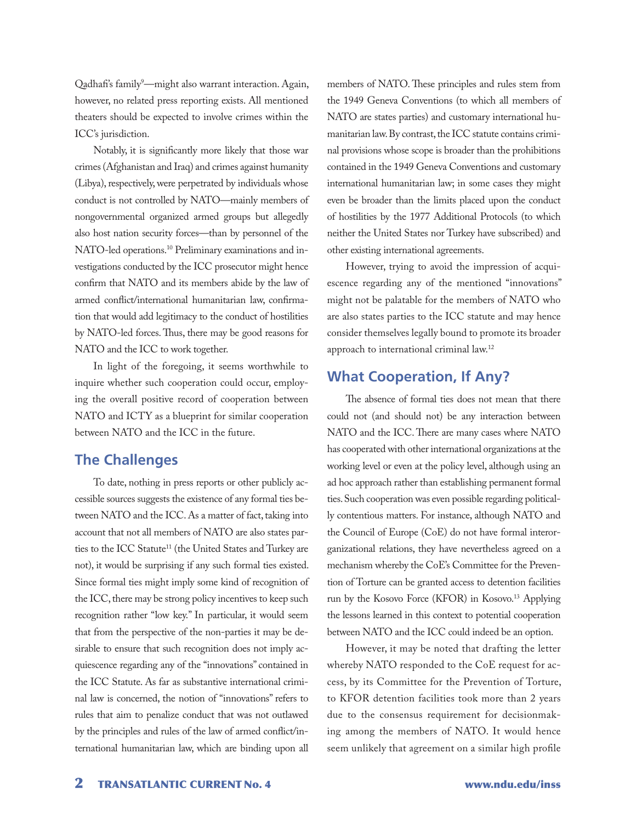Qadhafi's family<sup>9</sup>—might also warrant interaction. Again, however, no related press reporting exists. All mentioned theaters should be expected to involve crimes within the ICC's jurisdiction.

Notably, it is significantly more likely that those war crimes (Afghanistan and Iraq) and crimes against humanity (Libya), respectively, were perpetrated by individuals whose conduct is not controlled by NATO—mainly members of nongovernmental organized armed groups but allegedly also host nation security forces—than by personnel of the NATO-led operations.<sup>10</sup> Preliminary examinations and investigations conducted by the ICC prosecutor might hence confirm that NATO and its members abide by the law of armed conflict/international humanitarian law, confirmation that would add legitimacy to the conduct of hostilities by NATO-led forces. Thus, there may be good reasons for NATO and the ICC to work together.

In light of the foregoing, it seems worthwhile to inquire whether such cooperation could occur, employing the overall positive record of cooperation between NATO and ICTY as a blueprint for similar cooperation between NATO and the ICC in the future.

#### **The Challenges**

To date, nothing in press reports or other publicly accessible sources suggests the existence of any formal ties between NATO and the ICC. As a matter of fact, taking into account that not all members of NATO are also states parties to the ICC Statute<sup>11</sup> (the United States and Turkey are not), it would be surprising if any such formal ties existed. Since formal ties might imply some kind of recognition of the ICC, there may be strong policy incentives to keep such recognition rather "low key." In particular, it would seem that from the perspective of the non-parties it may be desirable to ensure that such recognition does not imply acquiescence regarding any of the "innovations" contained in the ICC Statute. As far as substantive international criminal law is concerned, the notion of "innovations" refers to rules that aim to penalize conduct that was not outlawed by the principles and rules of the law of armed conflict/international humanitarian law, which are binding upon all

members of NATO. These principles and rules stem from the 1949 Geneva Conventions (to which all members of NATO are states parties) and customary international humanitarian law. By contrast, the ICC statute contains criminal provisions whose scope is broader than the prohibitions contained in the 1949 Geneva Conventions and customary international humanitarian law; in some cases they might even be broader than the limits placed upon the conduct of hostilities by the 1977 Additional Protocols (to which neither the United States nor Turkey have subscribed) and other existing international agreements.

However, trying to avoid the impression of acquiescence regarding any of the mentioned "innovations" might not be palatable for the members of NATO who are also states parties to the ICC statute and may hence consider themselves legally bound to promote its broader approach to international criminal law.12

#### **What Cooperation, If Any?**

The absence of formal ties does not mean that there could not (and should not) be any interaction between NATO and the ICC. There are many cases where NATO has cooperated with other international organizations at the working level or even at the policy level, although using an ad hoc approach rather than establishing permanent formal ties. Such cooperation was even possible regarding politically contentious matters. For instance, although NATO and the Council of Europe (CoE) do not have formal interorganizational relations, they have nevertheless agreed on a mechanism whereby the CoE's Committee for the Prevention of Torture can be granted access to detention facilities run by the Kosovo Force (KFOR) in Kosovo.<sup>13</sup> Applying the lessons learned in this context to potential cooperation between NATO and the ICC could indeed be an option.

However, it may be noted that drafting the letter whereby NATO responded to the CoE request for access, by its Committee for the Prevention of Torture, to KFOR detention facilities took more than 2 years due to the consensus requirement for decisionmaking among the members of NATO. It would hence seem unlikely that agreement on a similar high profile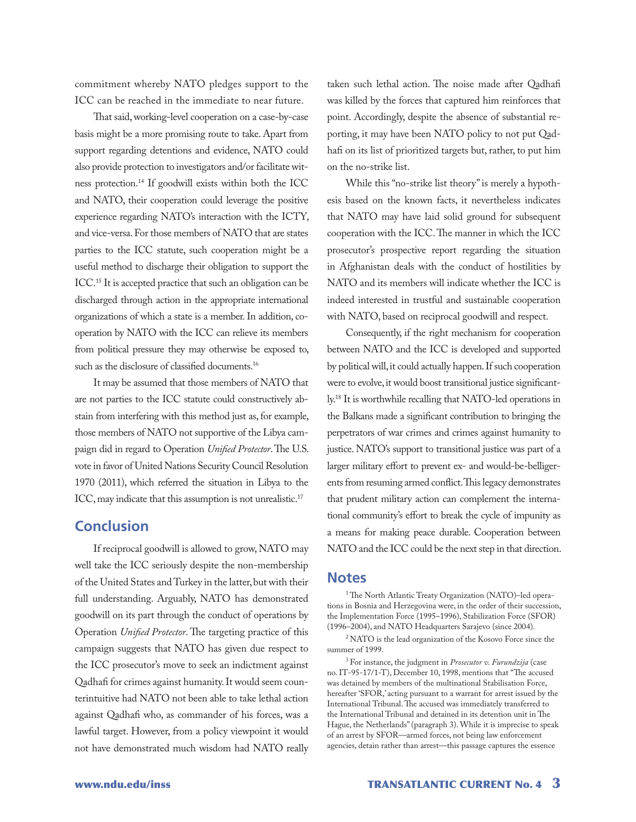commitment whereby NATO pledges support to the ICC can be reached in the immediate to near future.

That said, working-level cooperation on a case-by-case basis might be a more promising route to take. Apart from support regarding detentions and evidence, NATO could also provide protection to investigators and/or facilitate witness protection.14 If goodwill exists within both the ICC and NATO, their cooperation could leverage the positive experience regarding NATO's interaction with the ICTY, and vice-versa. For those members of NATO that are states parties to the ICC statute, such cooperation might be a useful method to discharge their obligation to support the ICC.15 It is accepted practice that such an obligation can be discharged through action in the appropriate international organizations of which a state is a member. In addition, cooperation by NATO with the ICC can relieve its members from political pressure they may otherwise be exposed to, such as the disclosure of classified documents.<sup>16</sup>

It may be assumed that those members of NATO that are not parties to the ICC statute could constructively abstain from interfering with this method just as, for example, those members of NATO not supportive of the Libya campaign did in regard to Operation *Unified Protector*. The U.S. vote in favor of United Nations Security Council Resolution 1970 (2011), which referred the situation in Libya to the ICC, may indicate that this assumption is not unrealistic.<sup>17</sup>

#### **Conclusion**

If reciprocal goodwill is allowed to grow, NATO may well take the ICC seriously despite the non-membership of the United States and Turkey in the latter, but with their full understanding. Arguably, NATO has demonstrated goodwill on its part through the conduct of operations by Operation *Unified Protector*. The targeting practice of this campaign suggests that NATO has given due respect to the ICC prosecutor's move to seek an indictment against Qadhafi for crimes against humanity. It would seem counterintuitive had NATO not been able to take lethal action against Qadhafi who, as commander of his forces, was a lawful target. However, from a policy viewpoint it would not have demonstrated much wisdom had NATO really

taken such lethal action. The noise made after Qadhafi was killed by the forces that captured him reinforces that point. Accordingly, despite the absence of substantial reporting, it may have been NATO policy to not put Qadhafi on its list of prioritized targets but, rather, to put him on the no-strike list.

While this "no-strike list theory" is merely a hypothesis based on the known facts, it nevertheless indicates that NATO may have laid solid ground for subsequent cooperation with the ICC. The manner in which the ICC prosecutor's prospective report regarding the situation in Afghanistan deals with the conduct of hostilities by NATO and its members will indicate whether the ICC is indeed interested in trustful and sustainable cooperation with NATO, based on reciprocal goodwill and respect.

Consequently, if the right mechanism for cooperation between NATO and the ICC is developed and supported by political will, it could actually happen. If such cooperation were to evolve, it would boost transitional justice significantly.18 It is worthwhile recalling that NATO-led operations in the Balkans made a significant contribution to bringing the perpetrators of war crimes and crimes against humanity to justice. NATO's support to transitional justice was part of a larger military effort to prevent ex- and would-be-belligerents from resuming armed conflict. This legacy demonstrates that prudent military action can complement the international community's effort to break the cycle of impunity as a means for making peace durable. Cooperation between NATO and the ICC could be the next step in that direction.

#### **Notes**

<sup>1</sup> The North Atlantic Treaty Organization (NATO)-led operations in Bosnia and Herzegovina were, in the order of their succession, the Implementation Force (1995–1996), Stabilization Force (SFOR) (1996–2004), and NATO Headquarters Sarajevo (since 2004).

2 NATO is the lead organization of the Kosovo Force since the summer of 1999.

3 For instance, the judgment in *Prosecutor v. Furundzija* (case no. IT-95-17/1-T), December 10, 1998, mentions that "The accused was detained by members of the multinational Stabilisation Force, hereafter 'SFOR,' acting pursuant to a warrant for arrest issued by the International Tribunal. The accused was immediately transferred to the International Tribunal and detained in its detention unit in The Hague, the Netherlands" (paragraph 3). While it is imprecise to speak of an arrest by SFOR—armed forces, not being law enforcement agencies, detain rather than arrest—this passage captures the essence